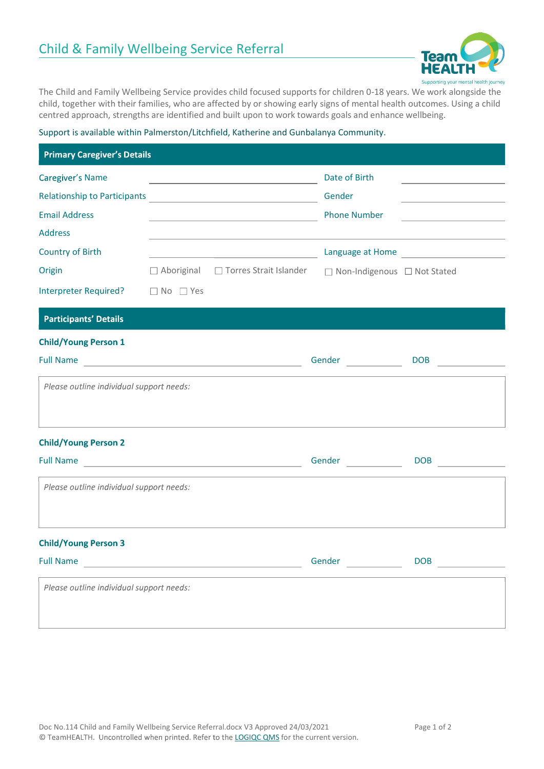

The Child and Family Wellbeing Service provides child focused supports for children 0-18 years. We work alongside the child, together with their families, who are affected by or showing early signs of mental health outcomes. Using a child centred approach, strengths are identified and built upon to work towards goals and enhance wellbeing.

## Support is available within Palmerston/Litchfield, Katherine and Gunbalanya Community.

| <b>Primary Caregiver's Details</b>                                                                     |                      |                                                                                                       |                                                                                                            |                                                             |
|--------------------------------------------------------------------------------------------------------|----------------------|-------------------------------------------------------------------------------------------------------|------------------------------------------------------------------------------------------------------------|-------------------------------------------------------------|
| Caregiver's Name<br>Relationship to Participants<br><u> </u><br><b>Email Address</b><br><b>Address</b> |                      | <u> 1989 - Johann Barbara, martxa alemaniar a</u>                                                     | Date of Birth<br>Gender<br><b>Phone Number</b>                                                             | the control of the control of the control of the control of |
| <b>Country of Birth</b><br>Origin                                                                      |                      | <u> 1989 - Johann Barbara, martin di</u> katalunan<br>$\Box$ Aboriginal $\Box$ Torres Strait Islander | $\Box$ Non-Indigenous $\Box$ Not Stated                                                                    |                                                             |
| <b>Interpreter Required?</b>                                                                           | $\Box$ No $\Box$ Yes |                                                                                                       |                                                                                                            |                                                             |
| <b>Participants' Details</b>                                                                           |                      |                                                                                                       |                                                                                                            |                                                             |
| <b>Child/Young Person 1</b><br>Please outline individual support needs:                                |                      |                                                                                                       | Gender <b>Contract Contract Contract Contract Contract Contract Contract Contract Contract Contract Co</b> | DOB                                                         |
| <b>Child/Young Person 2</b><br>Please outline individual support needs:                                |                      |                                                                                                       | Gender                                                                                                     | DOB                                                         |
| <b>Child/Young Person 3</b>                                                                            |                      |                                                                                                       | Gender                                                                                                     | DOB                                                         |
| Please outline individual support needs:                                                               |                      |                                                                                                       |                                                                                                            |                                                             |